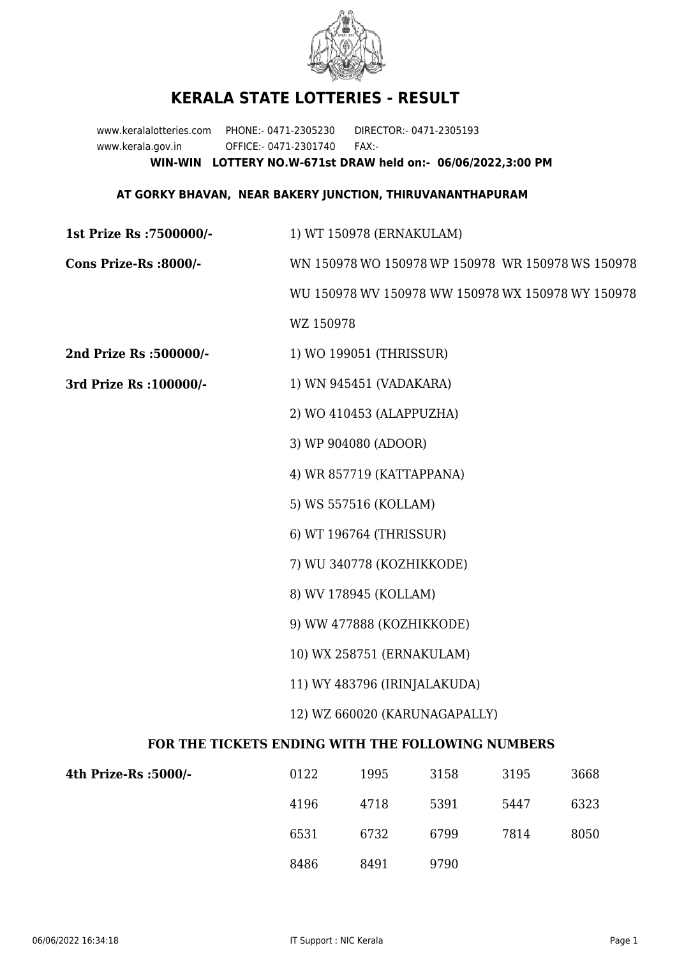

## **KERALA STATE LOTTERIES - RESULT**

www.keralalotteries.com PHONE:- 0471-2305230 DIRECTOR:- 0471-2305193 www.kerala.gov.in OFFICE:- 0471-2301740 FAX:- **WIN-WIN LOTTERY NO.W-671st DRAW held on:- 06/06/2022,3:00 PM**

## **AT GORKY BHAVAN, NEAR BAKERY JUNCTION, THIRUVANANTHAPURAM**

**1st Prize Rs :7500000/-** 1) WT 150978 (ERNAKULAM) **Cons Prize-Rs :8000/-** WN 150978 WO 150978 WP 150978 WR 150978 WS 150978 WU 150978 WV 150978 WW 150978 WX 150978 WY 150978 WZ 150978 **2nd Prize Rs :500000/-** 1) WO 199051 (THRISSUR) **3rd Prize Rs :100000/-** 1) WN 945451 (VADAKARA) 2) WO 410453 (ALAPPUZHA) 3) WP 904080 (ADOOR) 4) WR 857719 (KATTAPPANA) 5) WS 557516 (KOLLAM) 6) WT 196764 (THRISSUR) 7) WU 340778 (KOZHIKKODE) 8) WV 178945 (KOLLAM) 9) WW 477888 (KOZHIKKODE) 10) WX 258751 (ERNAKULAM) 11) WY 483796 (IRINJALAKUDA) 12) WZ 660020 (KARUNAGAPALLY) **FOR THE TICKETS ENDING WITH THE FOLLOWING NUMBERS**

| 4th Prize-Rs :5000/- | 0122 | 1995 | 3158 | 3195 | 3668 |
|----------------------|------|------|------|------|------|
|                      | 4196 | 4718 | 5391 | 5447 | 6323 |
|                      | 6531 | 6732 | 6799 | 7814 | 8050 |
|                      | 8486 | 8491 | 9790 |      |      |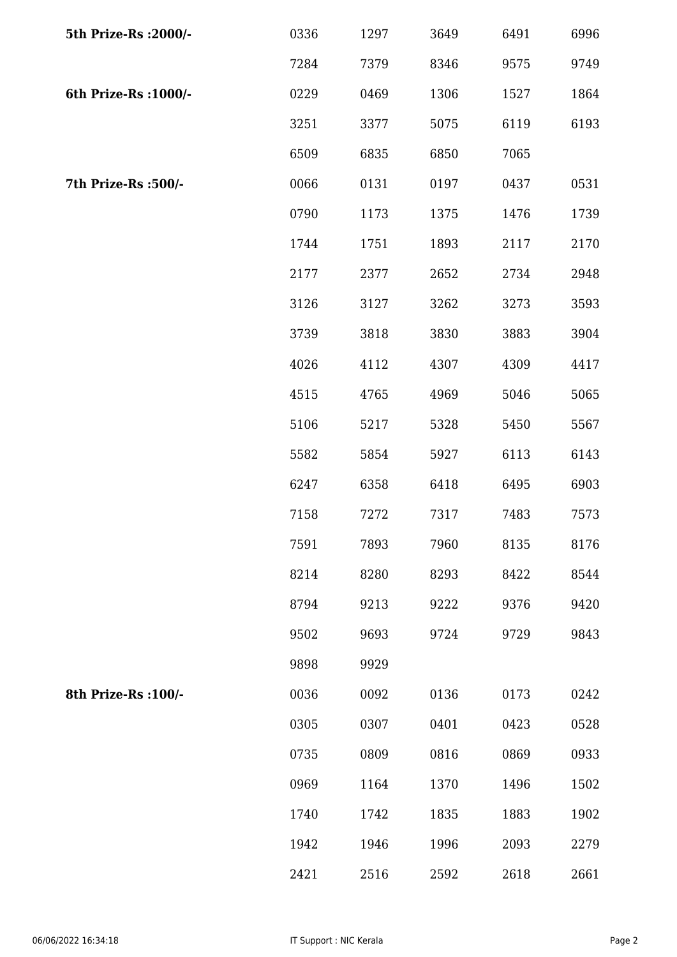| 5th Prize-Rs : 2000/- | 0336 | 1297 | 3649 | 6491 | 6996 |
|-----------------------|------|------|------|------|------|
|                       | 7284 | 7379 | 8346 | 9575 | 9749 |
| 6th Prize-Rs : 1000/- | 0229 | 0469 | 1306 | 1527 | 1864 |
|                       | 3251 | 3377 | 5075 | 6119 | 6193 |
|                       | 6509 | 6835 | 6850 | 7065 |      |
| 7th Prize-Rs :500/-   | 0066 | 0131 | 0197 | 0437 | 0531 |
|                       | 0790 | 1173 | 1375 | 1476 | 1739 |
|                       | 1744 | 1751 | 1893 | 2117 | 2170 |
|                       | 2177 | 2377 | 2652 | 2734 | 2948 |
|                       | 3126 | 3127 | 3262 | 3273 | 3593 |
|                       | 3739 | 3818 | 3830 | 3883 | 3904 |
|                       | 4026 | 4112 | 4307 | 4309 | 4417 |
|                       | 4515 | 4765 | 4969 | 5046 | 5065 |
|                       | 5106 | 5217 | 5328 | 5450 | 5567 |
|                       | 5582 | 5854 | 5927 | 6113 | 6143 |
|                       | 6247 | 6358 | 6418 | 6495 | 6903 |
|                       | 7158 | 7272 | 7317 | 7483 | 7573 |
|                       | 7591 | 7893 | 7960 | 8135 | 8176 |
|                       | 8214 | 8280 | 8293 | 8422 | 8544 |
|                       | 8794 | 9213 | 9222 | 9376 | 9420 |
|                       | 9502 | 9693 | 9724 | 9729 | 9843 |
|                       | 9898 | 9929 |      |      |      |
| 8th Prize-Rs : 100/-  | 0036 | 0092 | 0136 | 0173 | 0242 |
|                       | 0305 | 0307 | 0401 | 0423 | 0528 |
|                       | 0735 | 0809 | 0816 | 0869 | 0933 |
|                       | 0969 | 1164 | 1370 | 1496 | 1502 |
|                       | 1740 | 1742 | 1835 | 1883 | 1902 |
|                       | 1942 | 1946 | 1996 | 2093 | 2279 |
|                       | 2421 | 2516 | 2592 | 2618 | 2661 |